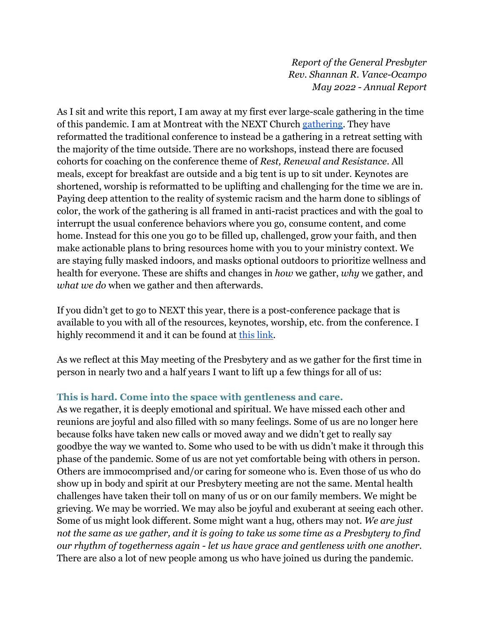*Report of the General Presbyter Rev. Shannan R. Vance-Ocampo May 2022 - Annual Report*

As I sit and write this report, I am away at my first ever large-scale gathering in the time of this pandemic. I am at Montreat with the NEXT Church [gathering.](https://nextchurch.net/2022-next-church-national-gathering/) They have reformatted the traditional conference to instead be a gathering in a retreat setting with the majority of the time outside. There are no workshops, instead there are focused cohorts for coaching on the conference theme of *Rest, Renewal and Resistance*. All meals, except for breakfast are outside and a big tent is up to sit under. Keynotes are shortened, worship is reformatted to be uplifting and challenging for the time we are in. Paying deep attention to the reality of systemic racism and the harm done to siblings of color, the work of the gathering is all framed in anti-racist practices and with the goal to interrupt the usual conference behaviors where you go, consume content, and come home. Instead for this one you go to be filled up, challenged, grow your faith, and then make actionable plans to bring resources home with you to your ministry context. We are staying fully masked indoors, and masks optional outdoors to prioritize wellness and health for everyone. These are shifts and changes in *how* we gather, *why* we gather, and *what we do* when we gather and then afterwards.

If you didn't get to go to NEXT this year, there is a post-conference package that is available to you with all of the resources, keynotes, worship, etc. from the conference. I highly recommend it and it can be found at [this link.](https://nextchurch.net/product/2022-national-gathering-virtual/)

As we reflect at this May meeting of the Presbytery and as we gather for the first time in person in nearly two and a half years I want to lift up a few things for all of us:

## **This is hard. Come into the space with gentleness and care.**

As we regather, it is deeply emotional and spiritual. We have missed each other and reunions are joyful and also filled with so many feelings. Some of us are no longer here because folks have taken new calls or moved away and we didn't get to really say goodbye the way we wanted to. Some who used to be with us didn't make it through this phase of the pandemic. Some of us are not yet comfortable being with others in person. Others are immocomprised and/or caring for someone who is. Even those of us who do show up in body and spirit at our Presbytery meeting are not the same. Mental health challenges have taken their toll on many of us or on our family members. We might be grieving. We may be worried. We may also be joyful and exuberant at seeing each other. Some of us might look different. Some might want a hug, others may not. *We are just not the same as we gather, and it is going to take us some time as a Presbytery to find our rhythm of togetherness again - let us have grace and gentleness with one another.* There are also a lot of new people among us who have joined us during the pandemic.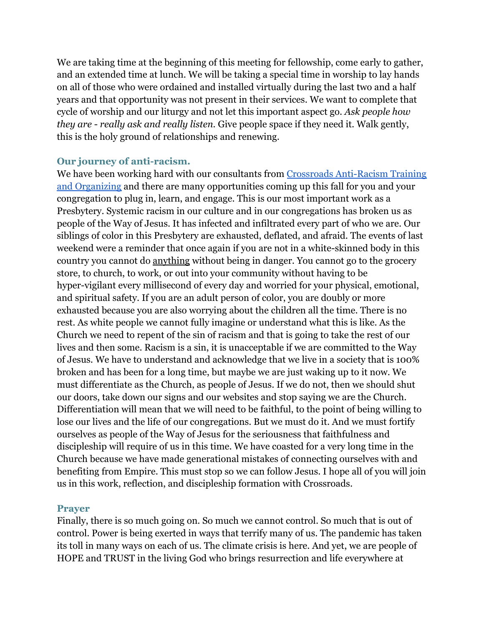We are taking time at the beginning of this meeting for fellowship, come early to gather, and an extended time at lunch. We will be taking a special time in worship to lay hands on all of those who were ordained and installed virtually during the last two and a half years and that opportunity was not present in their services. We want to complete that cycle of worship and our liturgy and not let this important aspect go. *Ask people how they are - really ask and really listen.* Give people space if they need it. Walk gently, this is the holy ground of relationships and renewing.

## **Our journey of anti-racism.**

We have been working hard with our consultants from [Crossroads Anti-Racism Training](https://crossroadsantiracism.org) [and Organizing](https://crossroadsantiracism.org) and there are many opportunities coming up this fall for you and your congregation to plug in, learn, and engage. This is our most important work as a Presbytery. Systemic racism in our culture and in our congregations has broken us as people of the Way of Jesus. It has infected and infiltrated every part of who we are. Our siblings of color in this Presbytery are exhausted, deflated, and afraid. The events of last weekend were a reminder that once again if you are not in a white-skinned body in this country you cannot do anything without being in danger. You cannot go to the grocery store, to church, to work, or out into your community without having to be hyper-vigilant every millisecond of every day and worried for your physical, emotional, and spiritual safety. If you are an adult person of color, you are doubly or more exhausted because you are also worrying about the children all the time. There is no rest. As white people we cannot fully imagine or understand what this is like. As the Church we need to repent of the sin of racism and that is going to take the rest of our lives and then some. Racism is a sin, it is unacceptable if we are committed to the Way of Jesus. We have to understand and acknowledge that we live in a society that is 100% broken and has been for a long time, but maybe we are just waking up to it now. We must differentiate as the Church, as people of Jesus. If we do not, then we should shut our doors, take down our signs and our websites and stop saying we are the Church. Differentiation will mean that we will need to be faithful, to the point of being willing to lose our lives and the life of our congregations. But we must do it. And we must fortify ourselves as people of the Way of Jesus for the seriousness that faithfulness and discipleship will require of us in this time. We have coasted for a very long time in the Church because we have made generational mistakes of connecting ourselves with and benefiting from Empire. This must stop so we can follow Jesus. I hope all of you will join us in this work, reflection, and discipleship formation with Crossroads.

## **Prayer**

Finally, there is so much going on. So much we cannot control. So much that is out of control. Power is being exerted in ways that terrify many of us. The pandemic has taken its toll in many ways on each of us. The climate crisis is here. And yet, we are people of HOPE and TRUST in the living God who brings resurrection and life everywhere at